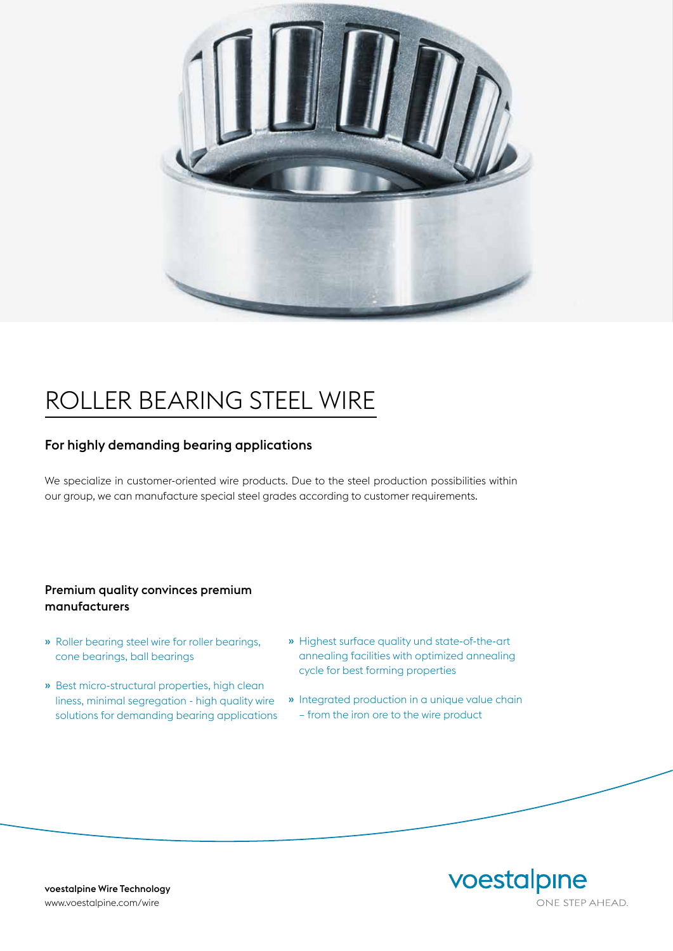

# ROLLER BEARING STEEL WIRE

## For highly demanding bearing applications

We specialize in customer-oriented wire products. Due to the steel production possibilities within our group, we can manufacture special steel grades according to customer requirements.

### Premium quality convinces premium manufacturers

- » Roller bearing steel wire for roller bearings, cone bearings, ball bearings
- » Best micro-structural properties, high clean liness, minimal segregation - high quality wire solutions for demanding bearing applications
- » Highest surface quality und state-of-the-art annealing facilities with optimized annealing cycle for best forming properties
- » Integrated production in a unique value chain – from the iron ore to the wire product



voestalpine Wire Technology www.voestalpine.com/wire